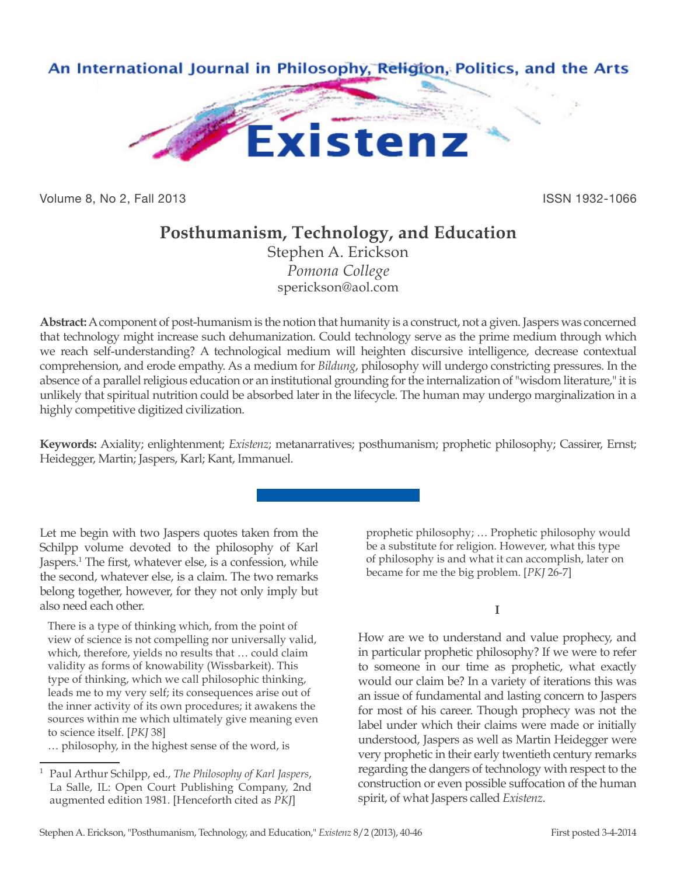

Volume 8, No 2, Fall 2013 **ISSN 1932-1066** 

## **Posthumanism, Technology, and Education**

Stephen A. Erickson *Pomona College* sperickson@aol.com

**Abstract:** A component of post-humanism is the notion that humanity is a construct, not a given. Jaspers was concerned that technology might increase such dehumanization. Could technology serve as the prime medium through which we reach self-understanding? A technological medium will heighten discursive intelligence, decrease contextual comprehension, and erode empathy. As a medium for *Bildung*, philosophy will undergo constricting pressures. In the absence of a parallel religious education or an institutional grounding for the internalization of "wisdom literature," it is unlikely that spiritual nutrition could be absorbed later in the lifecycle. The human may undergo marginalization in a highly competitive digitized civilization.

**Keywords:** Axiality; enlightenment; *Existenz*; metanarratives; posthumanism; prophetic philosophy; Cassirer, Ernst; Heidegger, Martin; Jaspers, Karl; Kant, Immanuel.

Let me begin with two Jaspers quotes taken from the Schilpp volume devoted to the philosophy of Karl Jaspers.<sup>1</sup> The first, whatever else, is a confession, while the second, whatever else, is a claim. The two remarks belong together, however, for they not only imply but also need each other.

There is a type of thinking which, from the point of view of science is not compelling nor universally valid, which, therefore, yields no results that … could claim validity as forms of knowability (Wissbarkeit). This type of thinking, which we call philosophic thinking, leads me to my very self; its consequences arise out of the inner activity of its own procedures; it awakens the sources within me which ultimately give meaning even to science itself. [*PKJ* 38]

… philosophy, in the highest sense of the word, is

prophetic philosophy; … Prophetic philosophy would be a substitute for religion. However, what this type of philosophy is and what it can accomplish, later on became for me the big problem. [*PKJ* 26-7]

## **I**

How are we to understand and value prophecy, and in particular prophetic philosophy? If we were to refer to someone in our time as prophetic, what exactly would our claim be? In a variety of iterations this was an issue of fundamental and lasting concern to Jaspers for most of his career. Though prophecy was not the label under which their claims were made or initially understood, Jaspers as well as Martin Heidegger were very prophetic in their early twentieth century remarks regarding the dangers of technology with respect to the construction or even possible suffocation of the human spirit, of what Jaspers called *Existenz*.

<sup>1</sup> Paul Arthur Schilpp, ed., *The Philosophy of Karl Jaspers*, La Salle, IL: Open Court Publishing Company, 2nd augmented edition 1981. [Henceforth cited as *PKJ*]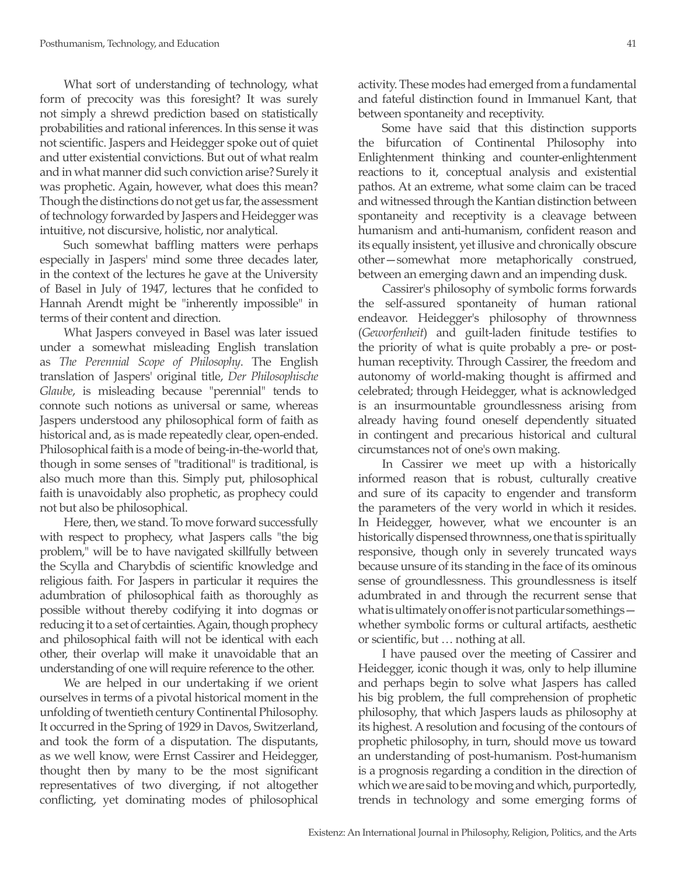What sort of understanding of technology, what form of precocity was this foresight? It was surely not simply a shrewd prediction based on statistically probabilities and rational inferences. In this sense it was not scientific. Jaspers and Heidegger spoke out of quiet and utter existential convictions. But out of what realm and in what manner did such conviction arise? Surely it was prophetic. Again, however, what does this mean? Though the distinctions do not get us far, the assessment of technology forwarded by Jaspers and Heidegger was intuitive, not discursive, holistic, nor analytical.

Such somewhat baffling matters were perhaps especially in Jaspers' mind some three decades later, in the context of the lectures he gave at the University of Basel in July of 1947, lectures that he confided to Hannah Arendt might be "inherently impossible" in terms of their content and direction.

What Jaspers conveyed in Basel was later issued under a somewhat misleading English translation as *The Perennial Scope of Philosophy*. The English translation of Jaspers' original title, *Der Philosophische Glaube*, is misleading because "perennial" tends to connote such notions as universal or same, whereas Jaspers understood any philosophical form of faith as historical and, as is made repeatedly clear, open-ended. Philosophical faith is a mode of being-in-the-world that, though in some senses of "traditional" is traditional, is also much more than this. Simply put, philosophical faith is unavoidably also prophetic, as prophecy could not but also be philosophical.

Here, then, we stand. To move forward successfully with respect to prophecy, what Jaspers calls "the big problem," will be to have navigated skillfully between the Scylla and Charybdis of scientific knowledge and religious faith. For Jaspers in particular it requires the adumbration of philosophical faith as thoroughly as possible without thereby codifying it into dogmas or reducing it to a set of certainties. Again, though prophecy and philosophical faith will not be identical with each other, their overlap will make it unavoidable that an understanding of one will require reference to the other.

We are helped in our undertaking if we orient ourselves in terms of a pivotal historical moment in the unfolding of twentieth century Continental Philosophy. It occurred in the Spring of 1929 in Davos, Switzerland, and took the form of a disputation. The disputants, as we well know, were Ernst Cassirer and Heidegger, thought then by many to be the most significant representatives of two diverging, if not altogether conflicting, yet dominating modes of philosophical

activity. These modes had emerged from a fundamental and fateful distinction found in Immanuel Kant, that between spontaneity and receptivity.

Some have said that this distinction supports the bifurcation of Continental Philosophy into Enlightenment thinking and counter-enlightenment reactions to it, conceptual analysis and existential pathos. At an extreme, what some claim can be traced and witnessed through the Kantian distinction between spontaneity and receptivity is a cleavage between humanism and anti-humanism, confident reason and its equally insistent, yet illusive and chronically obscure other—somewhat more metaphorically construed, between an emerging dawn and an impending dusk.

Cassirer's philosophy of symbolic forms forwards the self-assured spontaneity of human rational endeavor. Heidegger's philosophy of thrownness (*Geworfenheit*) and guilt-laden finitude testifies to the priority of what is quite probably a pre- or posthuman receptivity. Through Cassirer, the freedom and autonomy of world-making thought is affirmed and celebrated; through Heidegger, what is acknowledged is an insurmountable groundlessness arising from already having found oneself dependently situated in contingent and precarious historical and cultural circumstances not of one's own making.

In Cassirer we meet up with a historically informed reason that is robust, culturally creative and sure of its capacity to engender and transform the parameters of the very world in which it resides. In Heidegger, however, what we encounter is an historically dispensed thrownness, one that is spiritually responsive, though only in severely truncated ways because unsure of its standing in the face of its ominous sense of groundlessness. This groundlessness is itself adumbrated in and through the recurrent sense that what is ultimately on offer is not particular somethings whether symbolic forms or cultural artifacts, aesthetic or scientific, but … nothing at all.

I have paused over the meeting of Cassirer and Heidegger, iconic though it was, only to help illumine and perhaps begin to solve what Jaspers has called his big problem, the full comprehension of prophetic philosophy, that which Jaspers lauds as philosophy at its highest. A resolution and focusing of the contours of prophetic philosophy, in turn, should move us toward an understanding of post-humanism. Post-humanism is a prognosis regarding a condition in the direction of which we are said to be moving and which, purportedly, trends in technology and some emerging forms of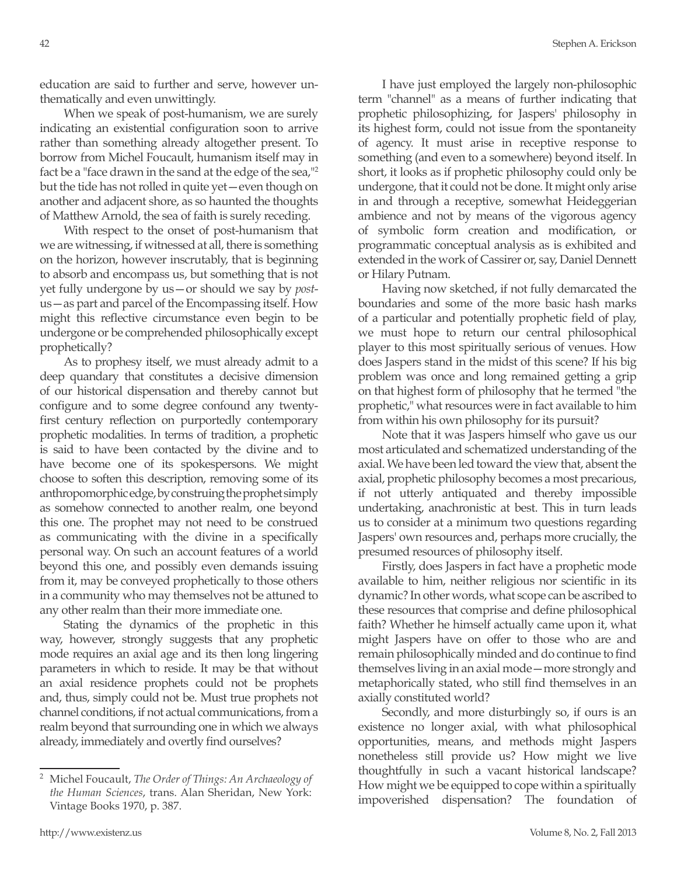education are said to further and serve, however unthematically and even unwittingly.

When we speak of post-humanism, we are surely indicating an existential configuration soon to arrive rather than something already altogether present. To borrow from Michel Foucault, humanism itself may in fact be a "face drawn in the sand at the edge of the sea,"2 but the tide has not rolled in quite yet—even though on another and adjacent shore, as so haunted the thoughts of Matthew Arnold, the sea of faith is surely receding.

With respect to the onset of post-humanism that we are witnessing, if witnessed at all, there is something on the horizon, however inscrutably, that is beginning to absorb and encompass us, but something that is not yet fully undergone by us—or should we say by *post*us—as part and parcel of the Encompassing itself. How might this reflective circumstance even begin to be undergone or be comprehended philosophically except prophetically?

As to prophesy itself, we must already admit to a deep quandary that constitutes a decisive dimension of our historical dispensation and thereby cannot but configure and to some degree confound any twentyfirst century reflection on purportedly contemporary prophetic modalities. In terms of tradition, a prophetic is said to have been contacted by the divine and to have become one of its spokespersons. We might choose to soften this description, removing some of its anthropomorphic edge, by construing the prophet simply as somehow connected to another realm, one beyond this one. The prophet may not need to be construed as communicating with the divine in a specifically personal way. On such an account features of a world beyond this one, and possibly even demands issuing from it, may be conveyed prophetically to those others in a community who may themselves not be attuned to any other realm than their more immediate one.

Stating the dynamics of the prophetic in this way, however, strongly suggests that any prophetic mode requires an axial age and its then long lingering parameters in which to reside. It may be that without an axial residence prophets could not be prophets and, thus, simply could not be. Must true prophets not channel conditions, if not actual communications, from a realm beyond that surrounding one in which we always already, immediately and overtly find ourselves?

I have just employed the largely non-philosophic term "channel" as a means of further indicating that prophetic philosophizing, for Jaspers' philosophy in its highest form, could not issue from the spontaneity of agency. It must arise in receptive response to something (and even to a somewhere) beyond itself. In short, it looks as if prophetic philosophy could only be undergone, that it could not be done. It might only arise in and through a receptive, somewhat Heideggerian ambience and not by means of the vigorous agency of symbolic form creation and modification, or programmatic conceptual analysis as is exhibited and extended in the work of Cassirer or, say, Daniel Dennett or Hilary Putnam.

Having now sketched, if not fully demarcated the boundaries and some of the more basic hash marks of a particular and potentially prophetic field of play, we must hope to return our central philosophical player to this most spiritually serious of venues. How does Jaspers stand in the midst of this scene? If his big problem was once and long remained getting a grip on that highest form of philosophy that he termed "the prophetic," what resources were in fact available to him from within his own philosophy for its pursuit?

Note that it was Jaspers himself who gave us our most articulated and schematized understanding of the axial. We have been led toward the view that, absent the axial, prophetic philosophy becomes a most precarious, if not utterly antiquated and thereby impossible undertaking, anachronistic at best. This in turn leads us to consider at a minimum two questions regarding Jaspers' own resources and, perhaps more crucially, the presumed resources of philosophy itself.

Firstly, does Jaspers in fact have a prophetic mode available to him, neither religious nor scientific in its dynamic? In other words, what scope can be ascribed to these resources that comprise and define philosophical faith? Whether he himself actually came upon it, what might Jaspers have on offer to those who are and remain philosophically minded and do continue to find themselves living in an axial mode—more strongly and metaphorically stated, who still find themselves in an axially constituted world?

Secondly, and more disturbingly so, if ours is an existence no longer axial, with what philosophical opportunities, means, and methods might Jaspers nonetheless still provide us? How might we live thoughtfully in such a vacant historical landscape? How might we be equipped to cope within a spiritually impoverished dispensation? The foundation of

<sup>2</sup> Michel Foucault, *The Order of Things: An Archaeology of the Human Sciences*, trans. Alan Sheridan, New York: Vintage Books 1970, p. 387.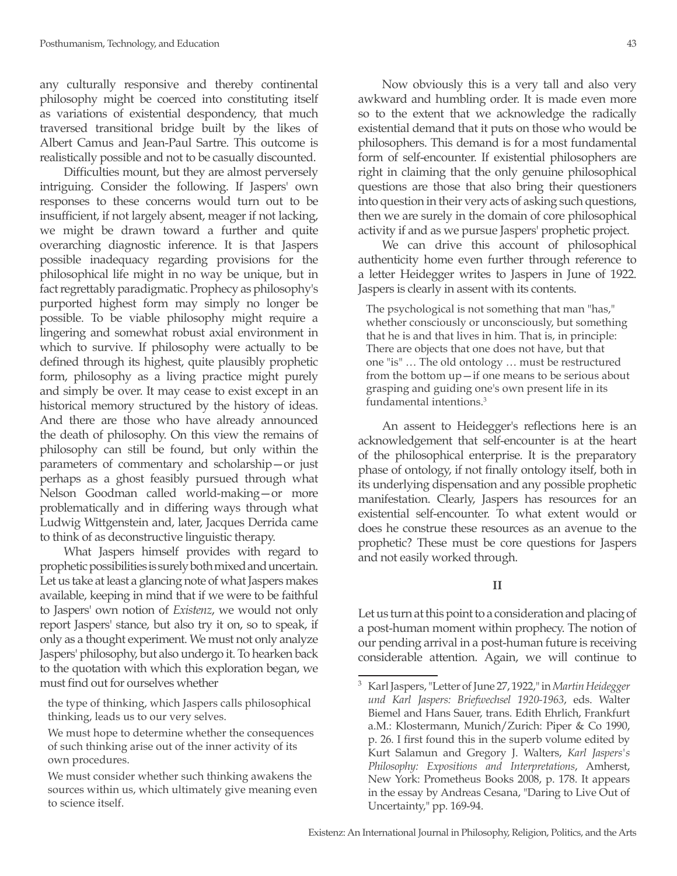any culturally responsive and thereby continental philosophy might be coerced into constituting itself as variations of existential despondency, that much traversed transitional bridge built by the likes of Albert Camus and Jean-Paul Sartre. This outcome is realistically possible and not to be casually discounted.

Difficulties mount, but they are almost perversely intriguing. Consider the following. If Jaspers' own responses to these concerns would turn out to be insufficient, if not largely absent, meager if not lacking, we might be drawn toward a further and quite overarching diagnostic inference. It is that Jaspers possible inadequacy regarding provisions for the philosophical life might in no way be unique, but in fact regrettably paradigmatic. Prophecy as philosophy's purported highest form may simply no longer be possible. To be viable philosophy might require a lingering and somewhat robust axial environment in which to survive. If philosophy were actually to be defined through its highest, quite plausibly prophetic form, philosophy as a living practice might purely and simply be over. It may cease to exist except in an historical memory structured by the history of ideas. And there are those who have already announced the death of philosophy. On this view the remains of philosophy can still be found, but only within the parameters of commentary and scholarship—or just perhaps as a ghost feasibly pursued through what Nelson Goodman called world-making—or more problematically and in differing ways through what Ludwig Wittgenstein and, later, Jacques Derrida came to think of as deconstructive linguistic therapy.

What Jaspers himself provides with regard to prophetic possibilities is surely both mixed and uncertain. Let us take at least a glancing note of what Jaspers makes available, keeping in mind that if we were to be faithful to Jaspers' own notion of *Existenz*, we would not only report Jaspers' stance, but also try it on, so to speak, if only as a thought experiment. We must not only analyze Jaspers' philosophy, but also undergo it. To hearken back to the quotation with which this exploration began, we must find out for ourselves whether

the type of thinking, which Jaspers calls philosophical thinking, leads us to our very selves.

We must hope to determine whether the consequences of such thinking arise out of the inner activity of its own procedures.

Now obviously this is a very tall and also very awkward and humbling order. It is made even more so to the extent that we acknowledge the radically existential demand that it puts on those who would be philosophers. This demand is for a most fundamental form of self-encounter. If existential philosophers are right in claiming that the only genuine philosophical questions are those that also bring their questioners into question in their very acts of asking such questions, then we are surely in the domain of core philosophical activity if and as we pursue Jaspers' prophetic project.

We can drive this account of philosophical authenticity home even further through reference to a letter Heidegger writes to Jaspers in June of 1922. Jaspers is clearly in assent with its contents.

The psychological is not something that man "has," whether consciously or unconsciously, but something that he is and that lives in him. That is, in principle: There are objects that one does not have, but that one "is" … The old ontology … must be restructured from the bottom up—if one means to be serious about grasping and guiding one's own present life in its fundamental intentions.3

An assent to Heidegger's reflections here is an acknowledgement that self-encounter is at the heart of the philosophical enterprise. It is the preparatory phase of ontology, if not finally ontology itself, both in its underlying dispensation and any possible prophetic manifestation. Clearly, Jaspers has resources for an existential self-encounter. To what extent would or does he construe these resources as an avenue to the prophetic? These must be core questions for Jaspers and not easily worked through.

## **II**

Let us turn at this point to a consideration and placing of a post-human moment within prophecy. The notion of our pending arrival in a post-human future is receiving considerable attention. Again, we will continue to

We must consider whether such thinking awakens the sources within us, which ultimately give meaning even to science itself.

<sup>3</sup> Karl Jaspers, "Letter of June 27, 1922," in *Martin Heidegger und Karl Jaspers: Briefwechsel 1920-1963*, eds. Walter Biemel and Hans Sauer, trans. Edith Ehrlich, Frankfurt a.M.: Klostermann, Munich/Zurich: Piper & Co 1990, p. 26. I first found this in the superb volume edited by Kurt Salamun and Gregory J. Walters, *Karl Jaspers's Philosophy: Expositions and Interpretations*, Amherst, New York: Prometheus Books 2008, p. 178. It appears in the essay by Andreas Cesana, "Daring to Live Out of Uncertainty," pp. 169-94.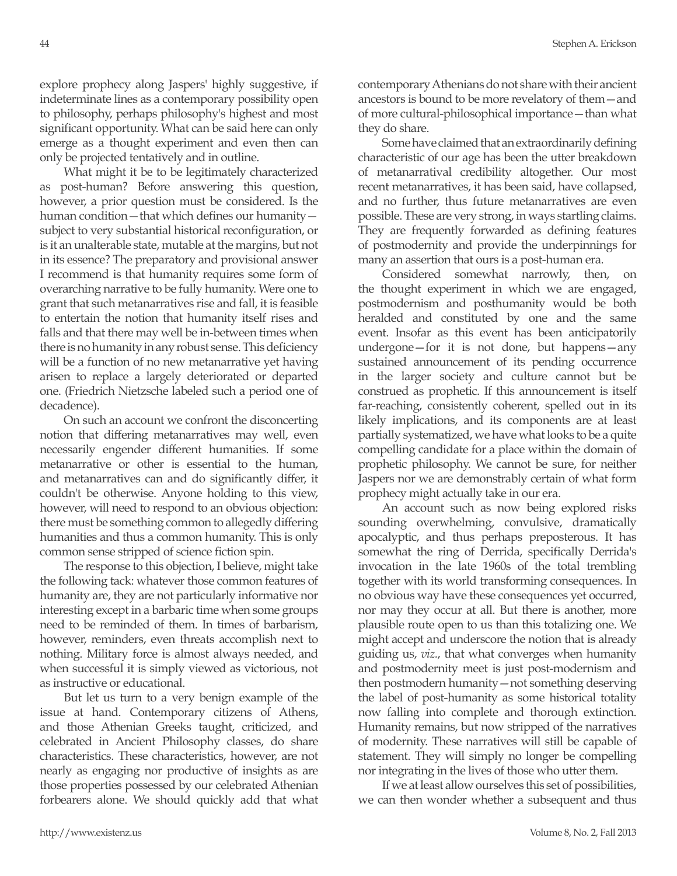explore prophecy along Jaspers' highly suggestive, if indeterminate lines as a contemporary possibility open to philosophy, perhaps philosophy's highest and most significant opportunity. What can be said here can only emerge as a thought experiment and even then can only be projected tentatively and in outline.

What might it be to be legitimately characterized as post-human? Before answering this question, however, a prior question must be considered. Is the human condition—that which defines our humanity subject to very substantial historical reconfiguration, or is it an unalterable state, mutable at the margins, but not in its essence? The preparatory and provisional answer I recommend is that humanity requires some form of overarching narrative to be fully humanity. Were one to grant that such metanarratives rise and fall, it is feasible to entertain the notion that humanity itself rises and falls and that there may well be in-between times when there is no humanity in any robust sense. This deficiency will be a function of no new metanarrative yet having arisen to replace a largely deteriorated or departed one. (Friedrich Nietzsche labeled such a period one of decadence).

On such an account we confront the disconcerting notion that differing metanarratives may well, even necessarily engender different humanities. If some metanarrative or other is essential to the human, and metanarratives can and do significantly differ, it couldn't be otherwise. Anyone holding to this view, however, will need to respond to an obvious objection: there must be something common to allegedly differing humanities and thus a common humanity. This is only common sense stripped of science fiction spin.

The response to this objection, I believe, might take the following tack: whatever those common features of humanity are, they are not particularly informative nor interesting except in a barbaric time when some groups need to be reminded of them. In times of barbarism, however, reminders, even threats accomplish next to nothing. Military force is almost always needed, and when successful it is simply viewed as victorious, not as instructive or educational.

But let us turn to a very benign example of the issue at hand. Contemporary citizens of Athens, and those Athenian Greeks taught, criticized, and celebrated in Ancient Philosophy classes, do share characteristics. These characteristics, however, are not nearly as engaging nor productive of insights as are those properties possessed by our celebrated Athenian forbearers alone. We should quickly add that what contemporary Athenians do not share with their ancient ancestors is bound to be more revelatory of them—and of more cultural-philosophical importance—than what they do share.

Some have claimed that an extraordinarily defining characteristic of our age has been the utter breakdown of metanarratival credibility altogether. Our most recent metanarratives, it has been said, have collapsed, and no further, thus future metanarratives are even possible. These are very strong, in ways startling claims. They are frequently forwarded as defining features of postmodernity and provide the underpinnings for many an assertion that ours is a post-human era.

Considered somewhat narrowly, then, on the thought experiment in which we are engaged, postmodernism and posthumanity would be both heralded and constituted by one and the same event. Insofar as this event has been anticipatorily undergone—for it is not done, but happens—any sustained announcement of its pending occurrence in the larger society and culture cannot but be construed as prophetic. If this announcement is itself far-reaching, consistently coherent, spelled out in its likely implications, and its components are at least partially systematized, we have what looks to be a quite compelling candidate for a place within the domain of prophetic philosophy. We cannot be sure, for neither Jaspers nor we are demonstrably certain of what form prophecy might actually take in our era.

An account such as now being explored risks sounding overwhelming, convulsive, dramatically apocalyptic, and thus perhaps preposterous. It has somewhat the ring of Derrida, specifically Derrida's invocation in the late 1960s of the total trembling together with its world transforming consequences. In no obvious way have these consequences yet occurred, nor may they occur at all. But there is another, more plausible route open to us than this totalizing one. We might accept and underscore the notion that is already guiding us, *viz.*, that what converges when humanity and postmodernity meet is just post-modernism and then postmodern humanity—not something deserving the label of post-humanity as some historical totality now falling into complete and thorough extinction. Humanity remains, but now stripped of the narratives of modernity. These narratives will still be capable of statement. They will simply no longer be compelling nor integrating in the lives of those who utter them.

If we at least allow ourselves this set of possibilities, we can then wonder whether a subsequent and thus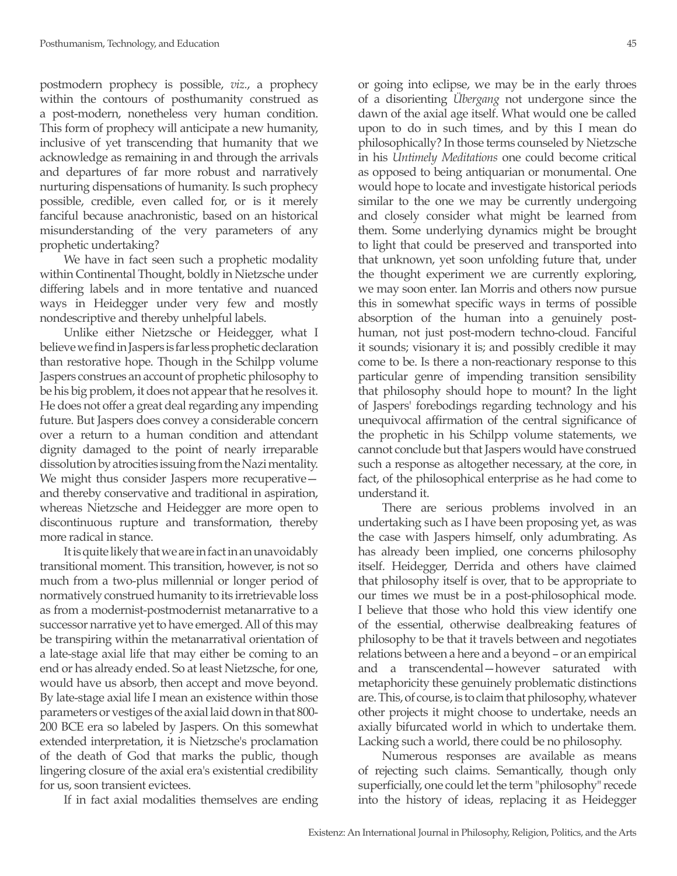postmodern prophecy is possible, *viz.*, a prophecy within the contours of posthumanity construed as a post-modern, nonetheless very human condition. This form of prophecy will anticipate a new humanity, inclusive of yet transcending that humanity that we acknowledge as remaining in and through the arrivals and departures of far more robust and narratively nurturing dispensations of humanity. Is such prophecy possible, credible, even called for, or is it merely fanciful because anachronistic, based on an historical misunderstanding of the very parameters of any prophetic undertaking?

We have in fact seen such a prophetic modality within Continental Thought, boldly in Nietzsche under differing labels and in more tentative and nuanced ways in Heidegger under very few and mostly nondescriptive and thereby unhelpful labels.

Unlike either Nietzsche or Heidegger, what I believe we find in Jaspers is far less prophetic declaration than restorative hope. Though in the Schilpp volume Jaspers construes an account of prophetic philosophy to be his big problem, it does not appear that he resolves it. He does not offer a great deal regarding any impending future. But Jaspers does convey a considerable concern over a return to a human condition and attendant dignity damaged to the point of nearly irreparable dissolution by atrocities issuing from the Nazi mentality. We might thus consider Jaspers more recuperative and thereby conservative and traditional in aspiration, whereas Nietzsche and Heidegger are more open to discontinuous rupture and transformation, thereby more radical in stance.

It is quite likely that we are in fact in an unavoidably transitional moment. This transition, however, is not so much from a two-plus millennial or longer period of normatively construed humanity to its irretrievable loss as from a modernist-postmodernist metanarrative to a successor narrative yet to have emerged. All of this may be transpiring within the metanarratival orientation of a late-stage axial life that may either be coming to an end or has already ended. So at least Nietzsche, for one, would have us absorb, then accept and move beyond. By late-stage axial life I mean an existence within those parameters or vestiges of the axial laid down in that 800- 200 BCE era so labeled by Jaspers. On this somewhat extended interpretation, it is Nietzsche's proclamation of the death of God that marks the public, though lingering closure of the axial era's existential credibility for us, soon transient evictees.

If in fact axial modalities themselves are ending

or going into eclipse, we may be in the early throes of a disorienting *Übergang* not undergone since the dawn of the axial age itself. What would one be called upon to do in such times, and by this I mean do philosophically? In those terms counseled by Nietzsche in his *Untimely Meditations* one could become critical as opposed to being antiquarian or monumental. One would hope to locate and investigate historical periods similar to the one we may be currently undergoing and closely consider what might be learned from them. Some underlying dynamics might be brought to light that could be preserved and transported into that unknown, yet soon unfolding future that, under the thought experiment we are currently exploring, we may soon enter. Ian Morris and others now pursue this in somewhat specific ways in terms of possible absorption of the human into a genuinely posthuman, not just post-modern techno-cloud. Fanciful it sounds; visionary it is; and possibly credible it may come to be. Is there a non-reactionary response to this particular genre of impending transition sensibility that philosophy should hope to mount? In the light of Jaspers' forebodings regarding technology and his unequivocal affirmation of the central significance of the prophetic in his Schilpp volume statements, we cannot conclude but that Jaspers would have construed such a response as altogether necessary, at the core, in fact, of the philosophical enterprise as he had come to understand it.

There are serious problems involved in an undertaking such as I have been proposing yet, as was the case with Jaspers himself, only adumbrating. As has already been implied, one concerns philosophy itself. Heidegger, Derrida and others have claimed that philosophy itself is over, that to be appropriate to our times we must be in a post-philosophical mode. I believe that those who hold this view identify one of the essential, otherwise dealbreaking features of philosophy to be that it travels between and negotiates relations between a here and a beyond – or an empirical and a transcendental—however saturated with metaphoricity these genuinely problematic distinctions are. This, of course, is to claim that philosophy, whatever other projects it might choose to undertake, needs an axially bifurcated world in which to undertake them. Lacking such a world, there could be no philosophy.

Numerous responses are available as means of rejecting such claims. Semantically, though only superficially, one could let the term "philosophy" recede into the history of ideas, replacing it as Heidegger